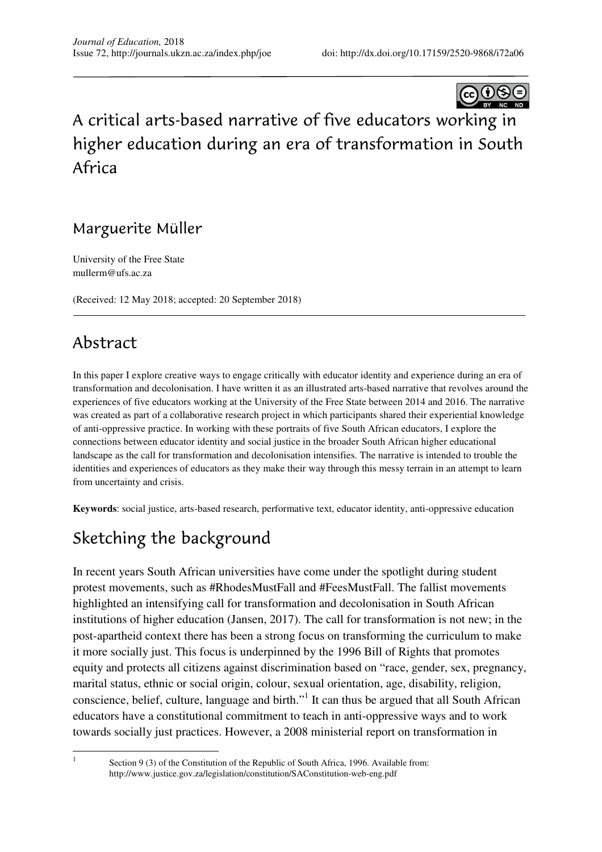

# A critical arts-based narrative of five educators working in higher education during an era of transformation in South Africa

### Marguerite Müller

University of the Free State mullerm@ufs.ac.za

(Received: 12 May 2018; accepted: 20 September 2018)

### Abstract

In this paper I explore creative ways to engage critically with educator identity and experience during an era of transformation and decolonisation. I have written it as an illustrated arts-based narrative that revolves around the experiences of five educators working at the University of the Free State between 2014 and 2016. The narrative was created as part of a collaborative research project in which participants shared their experiential knowledge of anti-oppressive practice. In working with these portraits of five South African educators, I explore the connections between educator identity and social justice in the broader South African higher educational landscape as the call for transformation and decolonisation intensifies. The narrative is intended to trouble the identities and experiences of educators as they make their way through this messy terrain in an attempt to learn from uncertainty and crisis.

**Keywords**: social justice, arts-based research, performative text, educator identity, anti-oppressive education

## Sketching the background

In recent years South African universities have come under the spotlight during student protest movements, such as #RhodesMustFall and #FeesMustFall. The fallist movements highlighted an intensifying call for transformation and decolonisation in South African institutions of higher education (Jansen, 2017). The call for transformation is not new; in the post-apartheid context there has been a strong focus on transforming the curriculum to make it more socially just. This focus is underpinned by the 1996 Bill of Rights that promotes equity and protects all citizens against discrimination based on "race, gender, sex, pregnancy, marital status, ethnic or social origin, colour, sexual orientation, age, disability, religion, conscience, belief, culture, language and birth."<sup>1</sup> It can thus be argued that all South African educators have a constitutional commitment to teach in anti-oppressive ways and to work towards socially just practices. However, a 2008 ministerial report on transformation in

 $\overline{a}$ 1

Section 9 (3) of the Constitution of the Republic of South Africa, 1996. Available from: http://www.justice.gov.za/legislation/constitution/SAConstitution-web-eng.pdf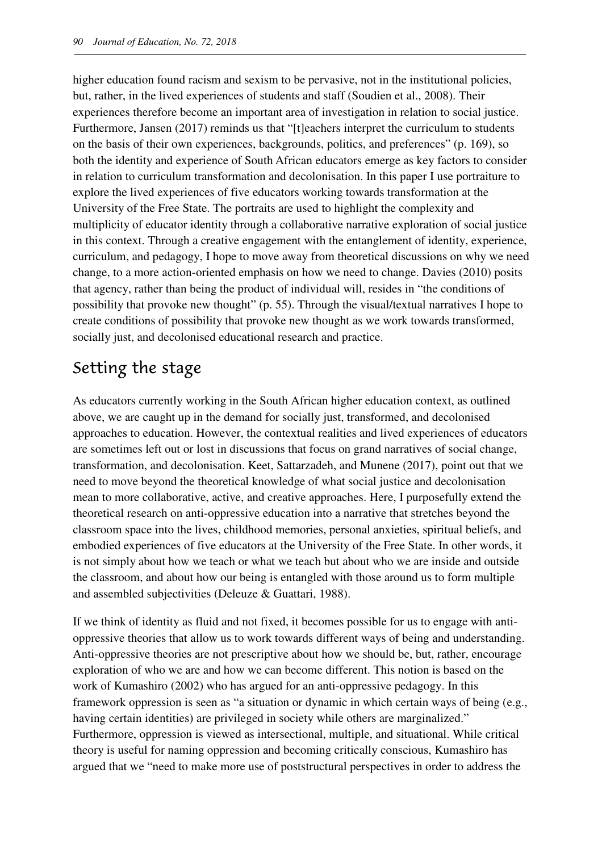higher education found racism and sexism to be pervasive, not in the institutional policies, but, rather, in the lived experiences of students and staff (Soudien et al., 2008). Their experiences therefore become an important area of investigation in relation to social justice. Furthermore, Jansen (2017) reminds us that "[t]eachers interpret the curriculum to students on the basis of their own experiences, backgrounds, politics, and preferences" (p. 169), so both the identity and experience of South African educators emerge as key factors to consider in relation to curriculum transformation and decolonisation. In this paper I use portraiture to explore the lived experiences of five educators working towards transformation at the University of the Free State. The portraits are used to highlight the complexity and multiplicity of educator identity through a collaborative narrative exploration of social justice in this context. Through a creative engagement with the entanglement of identity, experience, curriculum, and pedagogy, I hope to move away from theoretical discussions on why we need change, to a more action-oriented emphasis on how we need to change. Davies (2010) posits that agency, rather than being the product of individual will, resides in "the conditions of possibility that provoke new thought" (p. 55). Through the visual/textual narratives I hope to create conditions of possibility that provoke new thought as we work towards transformed, socially just, and decolonised educational research and practice.

## Setting the stage

As educators currently working in the South African higher education context, as outlined above, we are caught up in the demand for socially just, transformed, and decolonised approaches to education. However, the contextual realities and lived experiences of educators are sometimes left out or lost in discussions that focus on grand narratives of social change, transformation, and decolonisation. Keet, Sattarzadeh, and Munene (2017), point out that we need to move beyond the theoretical knowledge of what social justice and decolonisation mean to more collaborative, active, and creative approaches. Here, I purposefully extend the theoretical research on anti-oppressive education into a narrative that stretches beyond the classroom space into the lives, childhood memories, personal anxieties, spiritual beliefs, and embodied experiences of five educators at the University of the Free State. In other words, it is not simply about how we teach or what we teach but about who we are inside and outside the classroom, and about how our being is entangled with those around us to form multiple and assembled subjectivities (Deleuze & Guattari, 1988).

If we think of identity as fluid and not fixed, it becomes possible for us to engage with antioppressive theories that allow us to work towards different ways of being and understanding. Anti-oppressive theories are not prescriptive about how we should be, but, rather, encourage exploration of who we are and how we can become different. This notion is based on the work of Kumashiro (2002) who has argued for an anti-oppressive pedagogy. In this framework oppression is seen as "a situation or dynamic in which certain ways of being (e.g., having certain identities) are privileged in society while others are marginalized." Furthermore, oppression is viewed as intersectional, multiple, and situational. While critical theory is useful for naming oppression and becoming critically conscious, Kumashiro has argued that we "need to make more use of poststructural perspectives in order to address the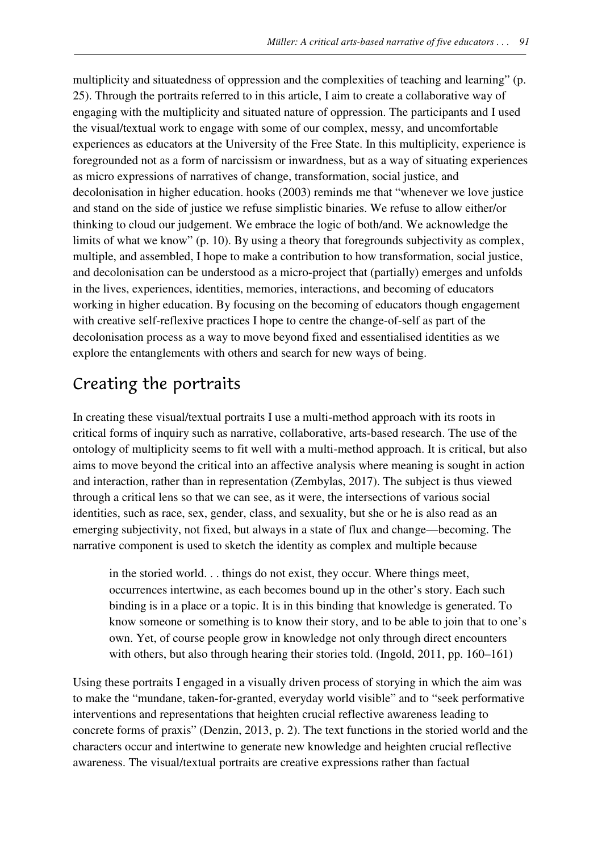multiplicity and situatedness of oppression and the complexities of teaching and learning" (p. 25). Through the portraits referred to in this article, I aim to create a collaborative way of engaging with the multiplicity and situated nature of oppression. The participants and I used the visual/textual work to engage with some of our complex, messy, and uncomfortable experiences as educators at the University of the Free State. In this multiplicity, experience is foregrounded not as a form of narcissism or inwardness, but as a way of situating experiences as micro expressions of narratives of change, transformation, social justice, and decolonisation in higher education. hooks (2003) reminds me that "whenever we love justice and stand on the side of justice we refuse simplistic binaries. We refuse to allow either/or thinking to cloud our judgement. We embrace the logic of both/and. We acknowledge the limits of what we know" (p. 10). By using a theory that foregrounds subjectivity as complex, multiple, and assembled, I hope to make a contribution to how transformation, social justice, and decolonisation can be understood as a micro-project that (partially) emerges and unfolds in the lives, experiences, identities, memories, interactions, and becoming of educators working in higher education. By focusing on the becoming of educators though engagement with creative self-reflexive practices I hope to centre the change-of-self as part of the decolonisation process as a way to move beyond fixed and essentialised identities as we explore the entanglements with others and search for new ways of being.

### Creating the portraits

In creating these visual/textual portraits I use a multi-method approach with its roots in critical forms of inquiry such as narrative, collaborative, arts-based research. The use of the ontology of multiplicity seems to fit well with a multi-method approach. It is critical, but also aims to move beyond the critical into an affective analysis where meaning is sought in action and interaction, rather than in representation (Zembylas, 2017). The subject is thus viewed through a critical lens so that we can see, as it were, the intersections of various social identities, such as race, sex, gender, class, and sexuality, but she or he is also read as an emerging subjectivity, not fixed, but always in a state of flux and change—becoming. The narrative component is used to sketch the identity as complex and multiple because

in the storied world. . . things do not exist, they occur. Where things meet, occurrences intertwine, as each becomes bound up in the other's story. Each such binding is in a place or a topic. It is in this binding that knowledge is generated. To know someone or something is to know their story, and to be able to join that to one's own. Yet, of course people grow in knowledge not only through direct encounters with others, but also through hearing their stories told. (Ingold, 2011, pp. 160–161)

Using these portraits I engaged in a visually driven process of storying in which the aim was to make the "mundane, taken-for-granted, everyday world visible" and to "seek performative interventions and representations that heighten crucial reflective awareness leading to concrete forms of praxis" (Denzin, 2013, p. 2). The text functions in the storied world and the characters occur and intertwine to generate new knowledge and heighten crucial reflective awareness. The visual/textual portraits are creative expressions rather than factual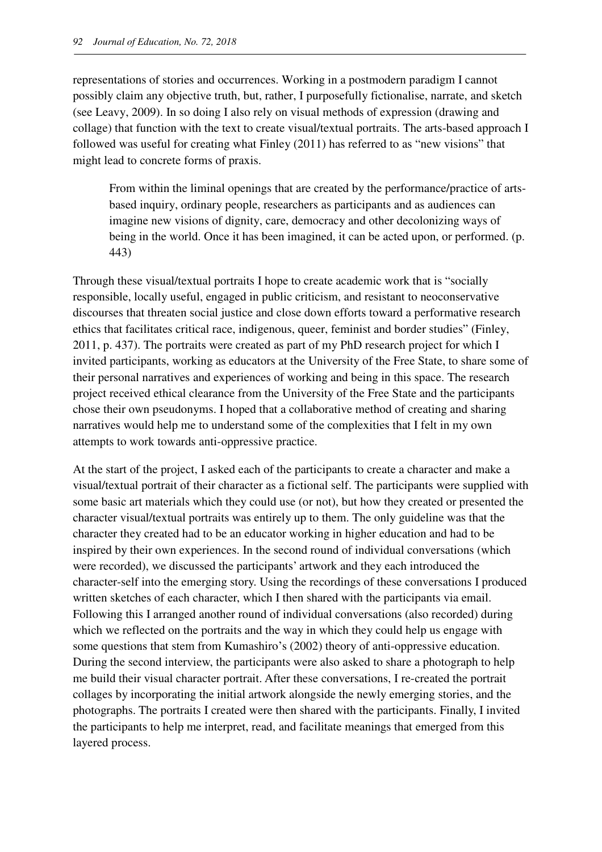representations of stories and occurrences. Working in a postmodern paradigm I cannot possibly claim any objective truth, but, rather, I purposefully fictionalise, narrate, and sketch (see Leavy, 2009). In so doing I also rely on visual methods of expression (drawing and collage) that function with the text to create visual/textual portraits. The arts-based approach I followed was useful for creating what Finley (2011) has referred to as "new visions" that might lead to concrete forms of praxis.

From within the liminal openings that are created by the performance/practice of artsbased inquiry, ordinary people, researchers as participants and as audiences can imagine new visions of dignity, care, democracy and other decolonizing ways of being in the world. Once it has been imagined, it can be acted upon, or performed. (p. 443)

Through these visual/textual portraits I hope to create academic work that is "socially responsible, locally useful, engaged in public criticism, and resistant to neoconservative discourses that threaten social justice and close down efforts toward a performative research ethics that facilitates critical race, indigenous, queer, feminist and border studies" (Finley, 2011, p. 437). The portraits were created as part of my PhD research project for which I invited participants, working as educators at the University of the Free State, to share some of their personal narratives and experiences of working and being in this space. The research project received ethical clearance from the University of the Free State and the participants chose their own pseudonyms. I hoped that a collaborative method of creating and sharing narratives would help me to understand some of the complexities that I felt in my own attempts to work towards anti-oppressive practice.

At the start of the project, I asked each of the participants to create a character and make a visual/textual portrait of their character as a fictional self. The participants were supplied with some basic art materials which they could use (or not), but how they created or presented the character visual/textual portraits was entirely up to them. The only guideline was that the character they created had to be an educator working in higher education and had to be inspired by their own experiences. In the second round of individual conversations (which were recorded), we discussed the participants' artwork and they each introduced the character-self into the emerging story. Using the recordings of these conversations I produced written sketches of each character, which I then shared with the participants via email. Following this I arranged another round of individual conversations (also recorded) during which we reflected on the portraits and the way in which they could help us engage with some questions that stem from Kumashiro's (2002) theory of anti-oppressive education. During the second interview, the participants were also asked to share a photograph to help me build their visual character portrait. After these conversations, I re-created the portrait collages by incorporating the initial artwork alongside the newly emerging stories, and the photographs. The portraits I created were then shared with the participants. Finally, I invited the participants to help me interpret, read, and facilitate meanings that emerged from this layered process.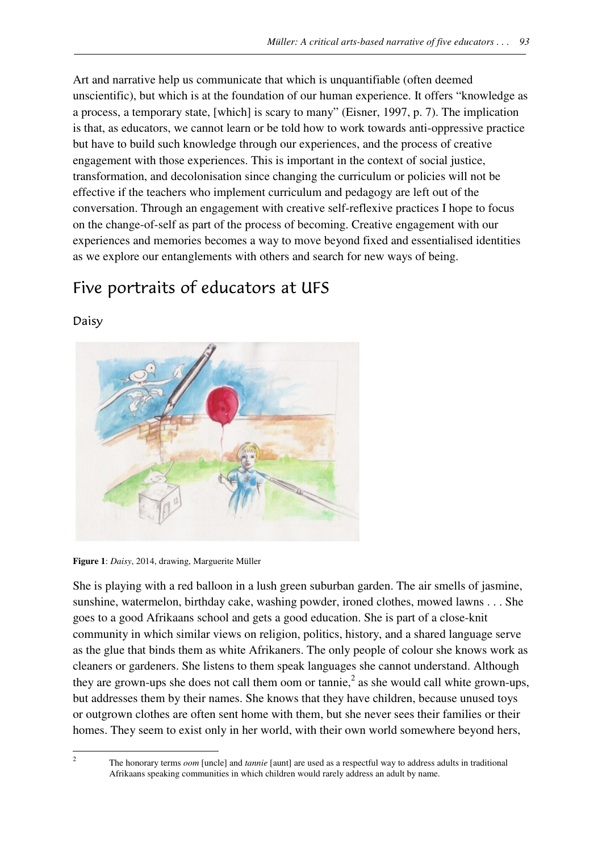Art and narrative help us communicate that which is unquantifiable (often deemed unscientific), but which is at the foundation of our human experience. It offers "knowledge as a process, a temporary state, [which] is scary to many" (Eisner, 1997, p. 7). The implication is that, as educators, we cannot learn or be told how to work towards anti-oppressive practice but have to build such knowledge through our experiences, and the process of creative engagement with those experiences. This is important in the context of social justice, transformation, and decolonisation since changing the curriculum or policies will not be effective if the teachers who implement curriculum and pedagogy are left out of the conversation. Through an engagement with creative self-reflexive practices I hope to focus on the change-of-self as part of the process of becoming. Creative engagement with our experiences and memories becomes a way to move beyond fixed and essentialised identities as we explore our entanglements with others and search for new ways of being.

## Five portraits of educators at UFS



Daisy

**Figure 1**: *Daisy*, 2014, drawing, Marguerite Müller

She is playing with a red balloon in a lush green suburban garden. The air smells of jasmine, sunshine, watermelon, birthday cake, washing powder, ironed clothes, mowed lawns . . . She goes to a good Afrikaans school and gets a good education. She is part of a close-knit community in which similar views on religion, politics, history, and a shared language serve as the glue that binds them as white Afrikaners. The only people of colour she knows work as cleaners or gardeners. She listens to them speak languages she cannot understand. Although they are grown-ups she does not call them oom or tannie,<sup>2</sup> as she would call white grown-ups, but addresses them by their names. She knows that they have children, because unused toys or outgrown clothes are often sent home with them, but she never sees their families or their homes. They seem to exist only in her world, with their own world somewhere beyond hers,

 $\overline{a}$ 2

The honorary terms *oom* [uncle] and *tannie* [aunt] are used as a respectful way to address adults in traditional Afrikaans speaking communities in which children would rarely address an adult by name.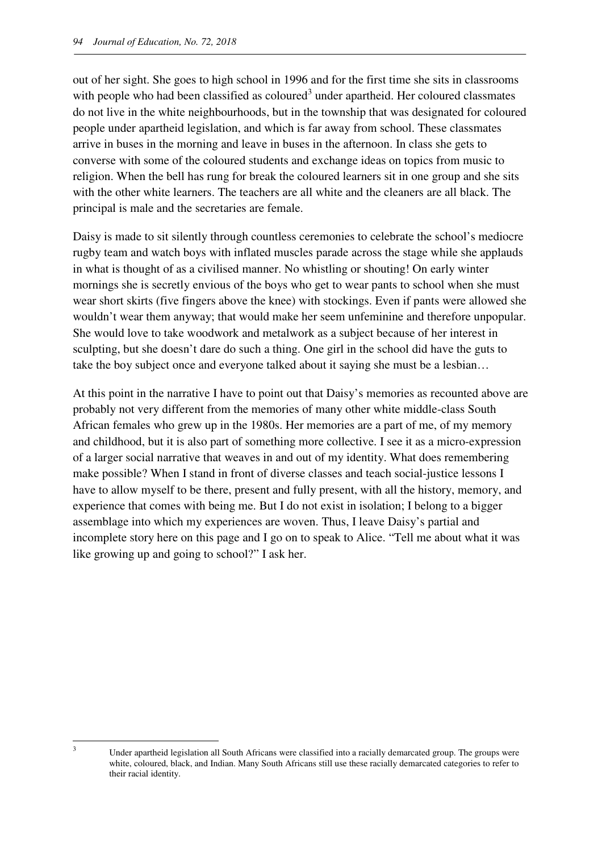out of her sight. She goes to high school in 1996 and for the first time she sits in classrooms with people who had been classified as coloured<sup>3</sup> under apartheid. Her coloured classmates do not live in the white neighbourhoods, but in the township that was designated for coloured people under apartheid legislation, and which is far away from school. These classmates arrive in buses in the morning and leave in buses in the afternoon. In class she gets to converse with some of the coloured students and exchange ideas on topics from music to religion. When the bell has rung for break the coloured learners sit in one group and she sits with the other white learners. The teachers are all white and the cleaners are all black. The principal is male and the secretaries are female.

Daisy is made to sit silently through countless ceremonies to celebrate the school's mediocre rugby team and watch boys with inflated muscles parade across the stage while she applauds in what is thought of as a civilised manner. No whistling or shouting! On early winter mornings she is secretly envious of the boys who get to wear pants to school when she must wear short skirts (five fingers above the knee) with stockings. Even if pants were allowed she wouldn't wear them anyway; that would make her seem unfeminine and therefore unpopular. She would love to take woodwork and metalwork as a subject because of her interest in sculpting, but she doesn't dare do such a thing. One girl in the school did have the guts to take the boy subject once and everyone talked about it saying she must be a lesbian…

At this point in the narrative I have to point out that Daisy's memories as recounted above are probably not very different from the memories of many other white middle-class South African females who grew up in the 1980s. Her memories are a part of me, of my memory and childhood, but it is also part of something more collective. I see it as a micro-expression of a larger social narrative that weaves in and out of my identity. What does remembering make possible? When I stand in front of diverse classes and teach social-justice lessons I have to allow myself to be there, present and fully present, with all the history, memory, and experience that comes with being me. But I do not exist in isolation; I belong to a bigger assemblage into which my experiences are woven. Thus, I leave Daisy's partial and incomplete story here on this page and I go on to speak to Alice. "Tell me about what it was like growing up and going to school?" I ask her.

l 3

Under apartheid legislation all South Africans were classified into a racially demarcated group. The groups were white, coloured, black, and Indian. Many South Africans still use these racially demarcated categories to refer to their racial identity.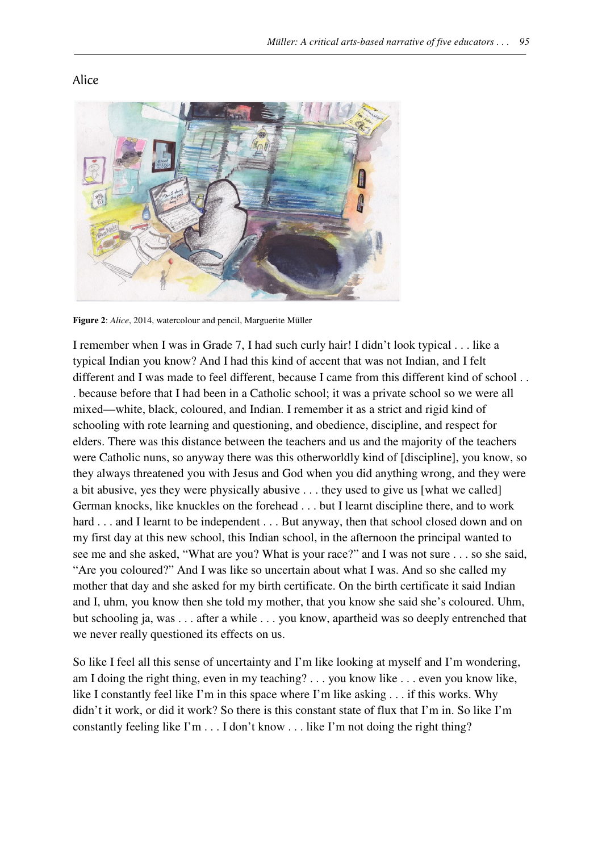#### Alice



**Figure 2**: *Alice*, 2014, watercolour and pencil, Marguerite Müller

I remember when I was in Grade 7, I had such curly hair! I didn't look typical . . . like a typical Indian you know? And I had this kind of accent that was not Indian, and I felt different and I was made to feel different, because I came from this different kind of school . . . because before that I had been in a Catholic school; it was a private school so we were all mixed—white, black, coloured, and Indian. I remember it as a strict and rigid kind of schooling with rote learning and questioning, and obedience, discipline, and respect for elders. There was this distance between the teachers and us and the majority of the teachers were Catholic nuns, so anyway there was this otherworldly kind of [discipline], you know, so they always threatened you with Jesus and God when you did anything wrong, and they were a bit abusive, yes they were physically abusive . . . they used to give us [what we called] German knocks, like knuckles on the forehead . . . but I learnt discipline there, and to work hard . . . and I learnt to be independent . . . But anyway, then that school closed down and on my first day at this new school, this Indian school, in the afternoon the principal wanted to see me and she asked, "What are you? What is your race?" and I was not sure . . . so she said, "Are you coloured?" And I was like so uncertain about what I was. And so she called my mother that day and she asked for my birth certificate. On the birth certificate it said Indian and I, uhm, you know then she told my mother, that you know she said she's coloured. Uhm, but schooling ja, was . . . after a while . . . you know, apartheid was so deeply entrenched that we never really questioned its effects on us.

So like I feel all this sense of uncertainty and I'm like looking at myself and I'm wondering, am I doing the right thing, even in my teaching? . . . you know like . . . even you know like, like I constantly feel like I'm in this space where I'm like asking . . . if this works. Why didn't it work, or did it work? So there is this constant state of flux that I'm in. So like I'm constantly feeling like I'm . . . I don't know . . . like I'm not doing the right thing?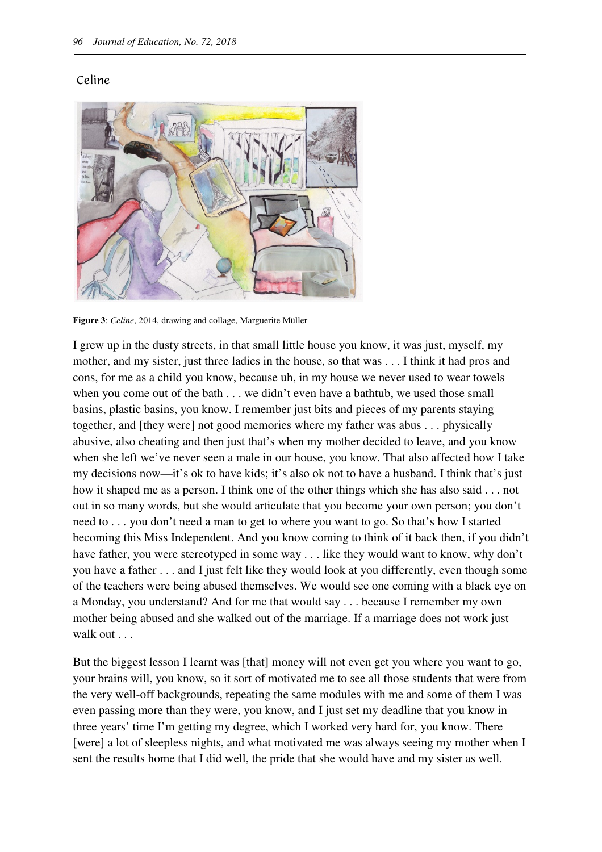#### Celine



**Figure 3**: *Celine*, 2014, drawing and collage, Marguerite Müller

I grew up in the dusty streets, in that small little house you know, it was just, myself, my mother, and my sister, just three ladies in the house, so that was . . . I think it had pros and cons, for me as a child you know, because uh, in my house we never used to wear towels when you come out of the bath . . . we didn't even have a bathtub, we used those small basins, plastic basins, you know. I remember just bits and pieces of my parents staying together, and [they were] not good memories where my father was abus . . . physically abusive, also cheating and then just that's when my mother decided to leave, and you know when she left we've never seen a male in our house, you know. That also affected how I take my decisions now—it's ok to have kids; it's also ok not to have a husband. I think that's just how it shaped me as a person. I think one of the other things which she has also said . . . not out in so many words, but she would articulate that you become your own person; you don't need to . . . you don't need a man to get to where you want to go. So that's how I started becoming this Miss Independent. And you know coming to think of it back then, if you didn't have father, you were stereotyped in some way . . . like they would want to know, why don't you have a father . . . and I just felt like they would look at you differently, even though some of the teachers were being abused themselves. We would see one coming with a black eye on a Monday, you understand? And for me that would say . . . because I remember my own mother being abused and she walked out of the marriage. If a marriage does not work just walk out ...

But the biggest lesson I learnt was [that] money will not even get you where you want to go, your brains will, you know, so it sort of motivated me to see all those students that were from the very well-off backgrounds, repeating the same modules with me and some of them I was even passing more than they were, you know, and I just set my deadline that you know in three years' time I'm getting my degree, which I worked very hard for, you know. There [were] a lot of sleepless nights, and what motivated me was always seeing my mother when I sent the results home that I did well, the pride that she would have and my sister as well.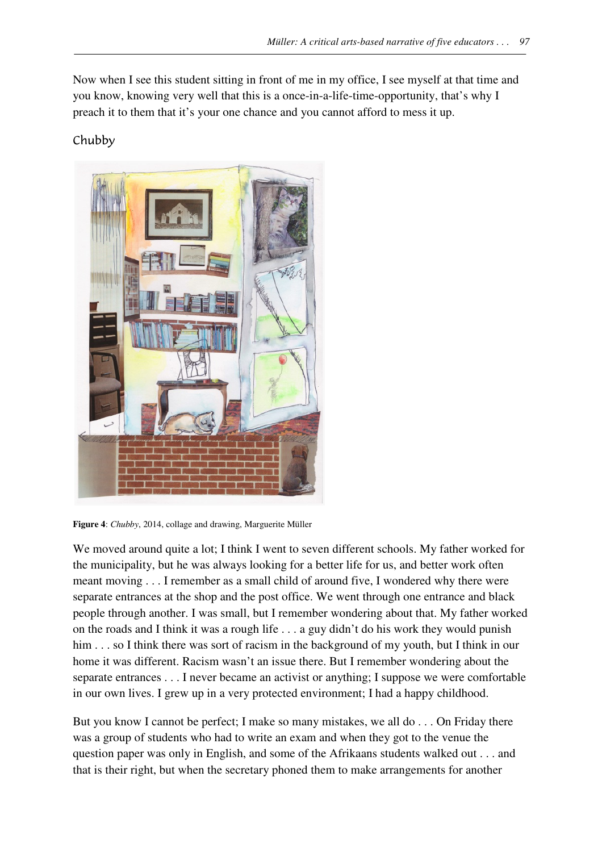Now when I see this student sitting in front of me in my office, I see myself at that time and you know, knowing very well that this is a once-in-a-life-time-opportunity, that's why I preach it to them that it's your one chance and you cannot afford to mess it up.

### Chubby



**Figure 4**: *Chubby*, 2014, collage and drawing, Marguerite Müller

We moved around quite a lot; I think I went to seven different schools. My father worked for the municipality, but he was always looking for a better life for us, and better work often meant moving . . . I remember as a small child of around five, I wondered why there were separate entrances at the shop and the post office. We went through one entrance and black people through another. I was small, but I remember wondering about that. My father worked on the roads and I think it was a rough life . . . a guy didn't do his work they would punish him . . . so I think there was sort of racism in the background of my youth, but I think in our home it was different. Racism wasn't an issue there. But I remember wondering about the separate entrances . . . I never became an activist or anything; I suppose we were comfortable in our own lives. I grew up in a very protected environment; I had a happy childhood.

But you know I cannot be perfect; I make so many mistakes, we all do . . . On Friday there was a group of students who had to write an exam and when they got to the venue the question paper was only in English, and some of the Afrikaans students walked out . . . and that is their right, but when the secretary phoned them to make arrangements for another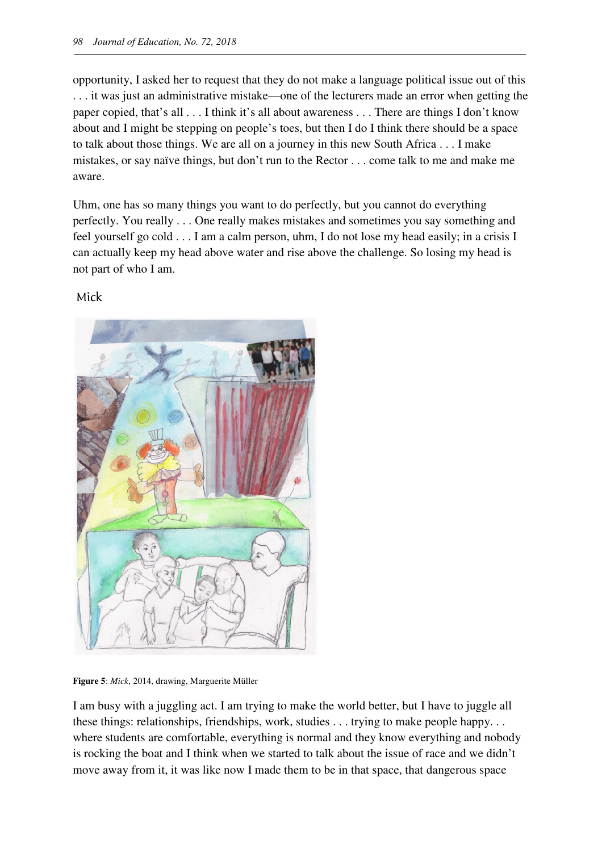opportunity, I asked her to request that they do not make a language political issue out of this . . . it was just an administrative mistake—one of the lecturers made an error when getting the paper copied, that's all . . . I think it's all about awareness . . . There are things I don't know about and I might be stepping on people's toes, but then I do I think there should be a space to talk about those things. We are all on a journey in this new South Africa . . . I make mistakes, or say naïve things, but don't run to the Rector . . . come talk to me and make me aware.

Uhm, one has so many things you want to do perfectly, but you cannot do everything perfectly. You really . . . One really makes mistakes and sometimes you say something and feel yourself go cold . . . I am a calm person, uhm, I do not lose my head easily; in a crisis I can actually keep my head above water and rise above the challenge. So losing my head is not part of who I am.

#### Mick



**Figure 5**: *Mick*, 2014, drawing, Marguerite Müller

I am busy with a juggling act. I am trying to make the world better, but I have to juggle all these things: relationships, friendships, work, studies . . . trying to make people happy. . . where students are comfortable, everything is normal and they know everything and nobody is rocking the boat and I think when we started to talk about the issue of race and we didn't move away from it, it was like now I made them to be in that space, that dangerous space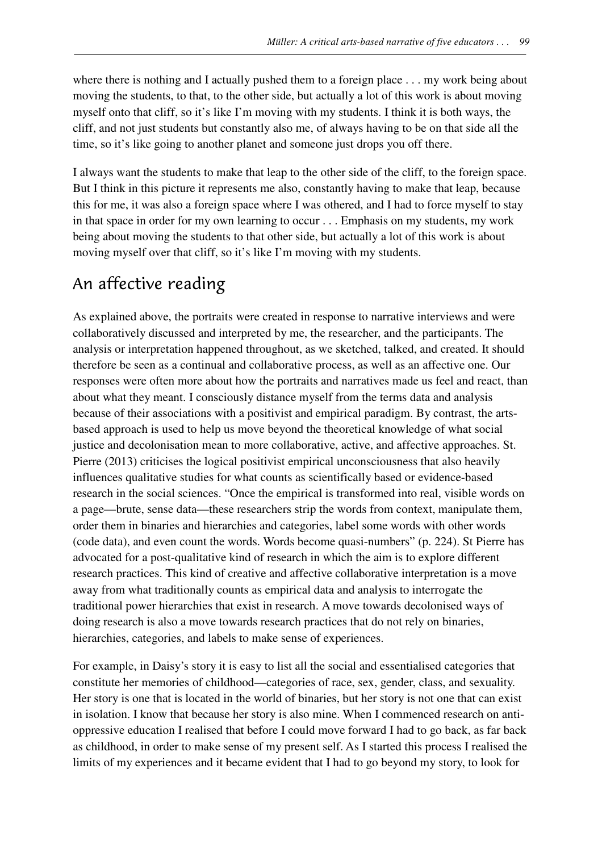where there is nothing and I actually pushed them to a foreign place . . . my work being about moving the students, to that, to the other side, but actually a lot of this work is about moving myself onto that cliff, so it's like I'm moving with my students. I think it is both ways, the cliff, and not just students but constantly also me, of always having to be on that side all the time, so it's like going to another planet and someone just drops you off there.

I always want the students to make that leap to the other side of the cliff, to the foreign space. But I think in this picture it represents me also, constantly having to make that leap, because this for me, it was also a foreign space where I was othered, and I had to force myself to stay in that space in order for my own learning to occur . . . Emphasis on my students, my work being about moving the students to that other side, but actually a lot of this work is about moving myself over that cliff, so it's like I'm moving with my students.

### An affective reading

As explained above, the portraits were created in response to narrative interviews and were collaboratively discussed and interpreted by me, the researcher, and the participants. The analysis or interpretation happened throughout, as we sketched, talked, and created. It should therefore be seen as a continual and collaborative process, as well as an affective one. Our responses were often more about how the portraits and narratives made us feel and react, than about what they meant. I consciously distance myself from the terms data and analysis because of their associations with a positivist and empirical paradigm. By contrast, the artsbased approach is used to help us move beyond the theoretical knowledge of what social justice and decolonisation mean to more collaborative, active, and affective approaches. St. Pierre (2013) criticises the logical positivist empirical unconsciousness that also heavily influences qualitative studies for what counts as scientifically based or evidence-based research in the social sciences. "Once the empirical is transformed into real, visible words on a page—brute, sense data—these researchers strip the words from context, manipulate them, order them in binaries and hierarchies and categories, label some words with other words (code data), and even count the words. Words become quasi-numbers" (p. 224). St Pierre has advocated for a post-qualitative kind of research in which the aim is to explore different research practices. This kind of creative and affective collaborative interpretation is a move away from what traditionally counts as empirical data and analysis to interrogate the traditional power hierarchies that exist in research. A move towards decolonised ways of doing research is also a move towards research practices that do not rely on binaries, hierarchies, categories, and labels to make sense of experiences.

For example, in Daisy's story it is easy to list all the social and essentialised categories that constitute her memories of childhood—categories of race, sex, gender, class, and sexuality. Her story is one that is located in the world of binaries, but her story is not one that can exist in isolation. I know that because her story is also mine. When I commenced research on antioppressive education I realised that before I could move forward I had to go back, as far back as childhood, in order to make sense of my present self. As I started this process I realised the limits of my experiences and it became evident that I had to go beyond my story, to look for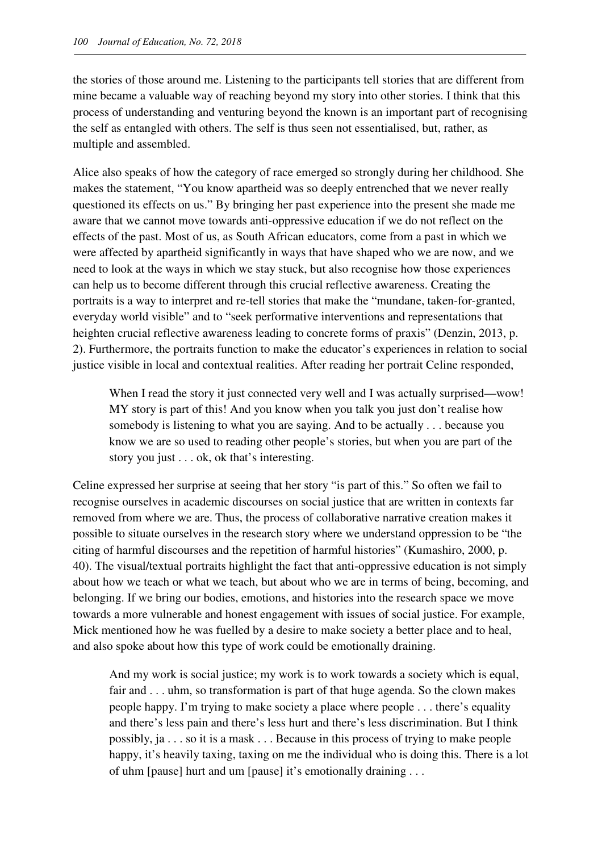the stories of those around me. Listening to the participants tell stories that are different from mine became a valuable way of reaching beyond my story into other stories. I think that this process of understanding and venturing beyond the known is an important part of recognising the self as entangled with others. The self is thus seen not essentialised, but, rather, as multiple and assembled.

Alice also speaks of how the category of race emerged so strongly during her childhood. She makes the statement, "You know apartheid was so deeply entrenched that we never really questioned its effects on us." By bringing her past experience into the present she made me aware that we cannot move towards anti-oppressive education if we do not reflect on the effects of the past. Most of us, as South African educators, come from a past in which we were affected by apartheid significantly in ways that have shaped who we are now, and we need to look at the ways in which we stay stuck, but also recognise how those experiences can help us to become different through this crucial reflective awareness. Creating the portraits is a way to interpret and re-tell stories that make the "mundane, taken-for-granted, everyday world visible" and to "seek performative interventions and representations that heighten crucial reflective awareness leading to concrete forms of praxis" (Denzin, 2013, p. 2). Furthermore, the portraits function to make the educator's experiences in relation to social justice visible in local and contextual realities. After reading her portrait Celine responded,

When I read the story it just connected very well and I was actually surprised—wow! MY story is part of this! And you know when you talk you just don't realise how somebody is listening to what you are saying. And to be actually . . . because you know we are so used to reading other people's stories, but when you are part of the story you just . . . ok, ok that's interesting.

Celine expressed her surprise at seeing that her story "is part of this." So often we fail to recognise ourselves in academic discourses on social justice that are written in contexts far removed from where we are. Thus, the process of collaborative narrative creation makes it possible to situate ourselves in the research story where we understand oppression to be "the citing of harmful discourses and the repetition of harmful histories" (Kumashiro, 2000, p. 40). The visual/textual portraits highlight the fact that anti-oppressive education is not simply about how we teach or what we teach, but about who we are in terms of being, becoming, and belonging. If we bring our bodies, emotions, and histories into the research space we move towards a more vulnerable and honest engagement with issues of social justice. For example, Mick mentioned how he was fuelled by a desire to make society a better place and to heal, and also spoke about how this type of work could be emotionally draining.

And my work is social justice; my work is to work towards a society which is equal, fair and . . . uhm, so transformation is part of that huge agenda. So the clown makes people happy. I'm trying to make society a place where people . . . there's equality and there's less pain and there's less hurt and there's less discrimination. But I think possibly, ja . . . so it is a mask . . . Because in this process of trying to make people happy, it's heavily taxing, taxing on me the individual who is doing this. There is a lot of uhm [pause] hurt and um [pause] it's emotionally draining . . .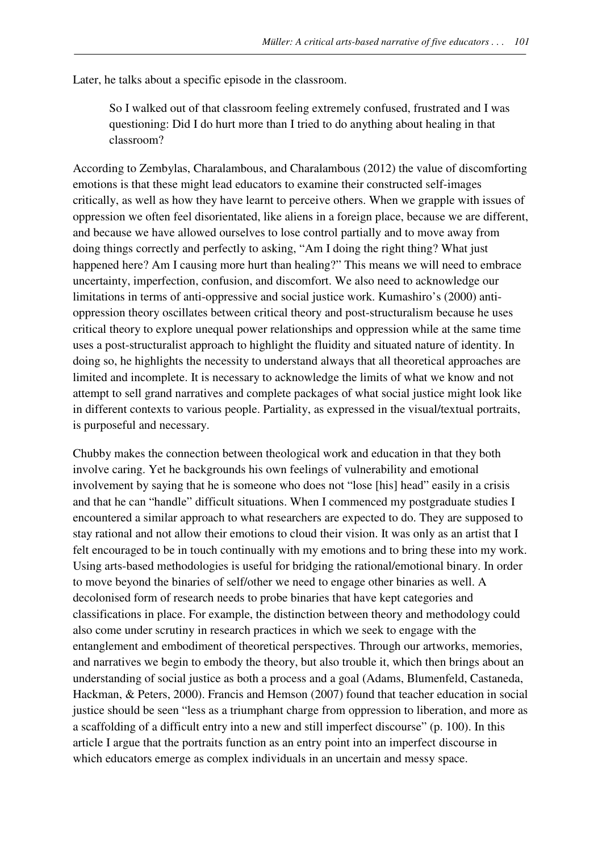Later, he talks about a specific episode in the classroom.

So I walked out of that classroom feeling extremely confused, frustrated and I was questioning: Did I do hurt more than I tried to do anything about healing in that classroom?

According to Zembylas, Charalambous, and Charalambous (2012) the value of discomforting emotions is that these might lead educators to examine their constructed self-images critically, as well as how they have learnt to perceive others. When we grapple with issues of oppression we often feel disorientated, like aliens in a foreign place, because we are different, and because we have allowed ourselves to lose control partially and to move away from doing things correctly and perfectly to asking, "Am I doing the right thing? What just happened here? Am I causing more hurt than healing?" This means we will need to embrace uncertainty, imperfection, confusion, and discomfort. We also need to acknowledge our limitations in terms of anti-oppressive and social justice work. Kumashiro's (2000) antioppression theory oscillates between critical theory and post-structuralism because he uses critical theory to explore unequal power relationships and oppression while at the same time uses a post-structuralist approach to highlight the fluidity and situated nature of identity. In doing so, he highlights the necessity to understand always that all theoretical approaches are limited and incomplete. It is necessary to acknowledge the limits of what we know and not attempt to sell grand narratives and complete packages of what social justice might look like in different contexts to various people. Partiality, as expressed in the visual/textual portraits, is purposeful and necessary.

Chubby makes the connection between theological work and education in that they both involve caring. Yet he backgrounds his own feelings of vulnerability and emotional involvement by saying that he is someone who does not "lose [his] head" easily in a crisis and that he can "handle" difficult situations. When I commenced my postgraduate studies I encountered a similar approach to what researchers are expected to do. They are supposed to stay rational and not allow their emotions to cloud their vision. It was only as an artist that I felt encouraged to be in touch continually with my emotions and to bring these into my work. Using arts-based methodologies is useful for bridging the rational/emotional binary. In order to move beyond the binaries of self/other we need to engage other binaries as well. A decolonised form of research needs to probe binaries that have kept categories and classifications in place. For example, the distinction between theory and methodology could also come under scrutiny in research practices in which we seek to engage with the entanglement and embodiment of theoretical perspectives. Through our artworks, memories, and narratives we begin to embody the theory, but also trouble it, which then brings about an understanding of social justice as both a process and a goal (Adams, Blumenfeld, Castaneda, Hackman, & Peters, 2000). Francis and Hemson (2007) found that teacher education in social justice should be seen "less as a triumphant charge from oppression to liberation, and more as a scaffolding of a difficult entry into a new and still imperfect discourse" (p. 100). In this article I argue that the portraits function as an entry point into an imperfect discourse in which educators emerge as complex individuals in an uncertain and messy space.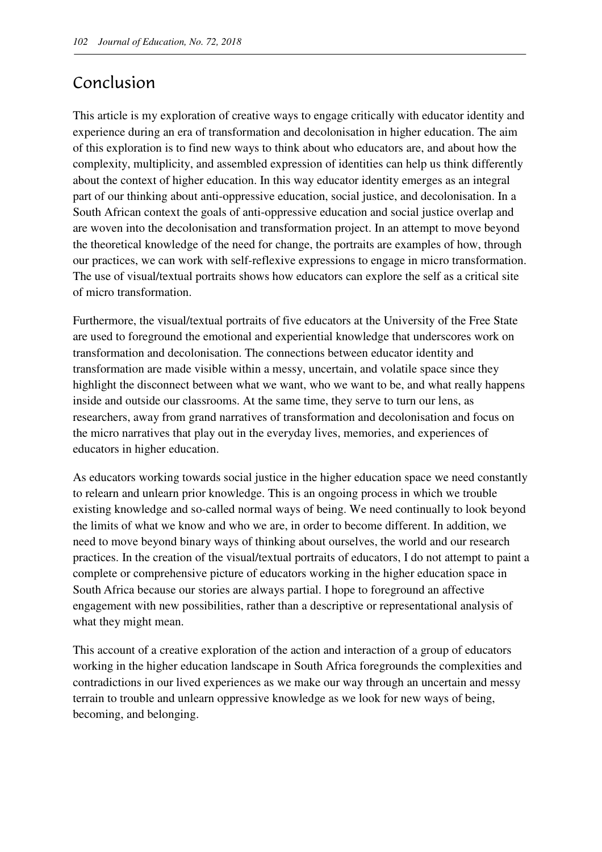### Conclusion

This article is my exploration of creative ways to engage critically with educator identity and experience during an era of transformation and decolonisation in higher education. The aim of this exploration is to find new ways to think about who educators are, and about how the complexity, multiplicity, and assembled expression of identities can help us think differently about the context of higher education. In this way educator identity emerges as an integral part of our thinking about anti-oppressive education, social justice, and decolonisation. In a South African context the goals of anti-oppressive education and social justice overlap and are woven into the decolonisation and transformation project. In an attempt to move beyond the theoretical knowledge of the need for change, the portraits are examples of how, through our practices, we can work with self-reflexive expressions to engage in micro transformation. The use of visual/textual portraits shows how educators can explore the self as a critical site of micro transformation.

Furthermore, the visual/textual portraits of five educators at the University of the Free State are used to foreground the emotional and experiential knowledge that underscores work on transformation and decolonisation. The connections between educator identity and transformation are made visible within a messy, uncertain, and volatile space since they highlight the disconnect between what we want, who we want to be, and what really happens inside and outside our classrooms. At the same time, they serve to turn our lens, as researchers, away from grand narratives of transformation and decolonisation and focus on the micro narratives that play out in the everyday lives, memories, and experiences of educators in higher education.

As educators working towards social justice in the higher education space we need constantly to relearn and unlearn prior knowledge. This is an ongoing process in which we trouble existing knowledge and so-called normal ways of being. We need continually to look beyond the limits of what we know and who we are, in order to become different. In addition, we need to move beyond binary ways of thinking about ourselves, the world and our research practices. In the creation of the visual/textual portraits of educators, I do not attempt to paint a complete or comprehensive picture of educators working in the higher education space in South Africa because our stories are always partial. I hope to foreground an affective engagement with new possibilities, rather than a descriptive or representational analysis of what they might mean.

This account of a creative exploration of the action and interaction of a group of educators working in the higher education landscape in South Africa foregrounds the complexities and contradictions in our lived experiences as we make our way through an uncertain and messy terrain to trouble and unlearn oppressive knowledge as we look for new ways of being, becoming, and belonging.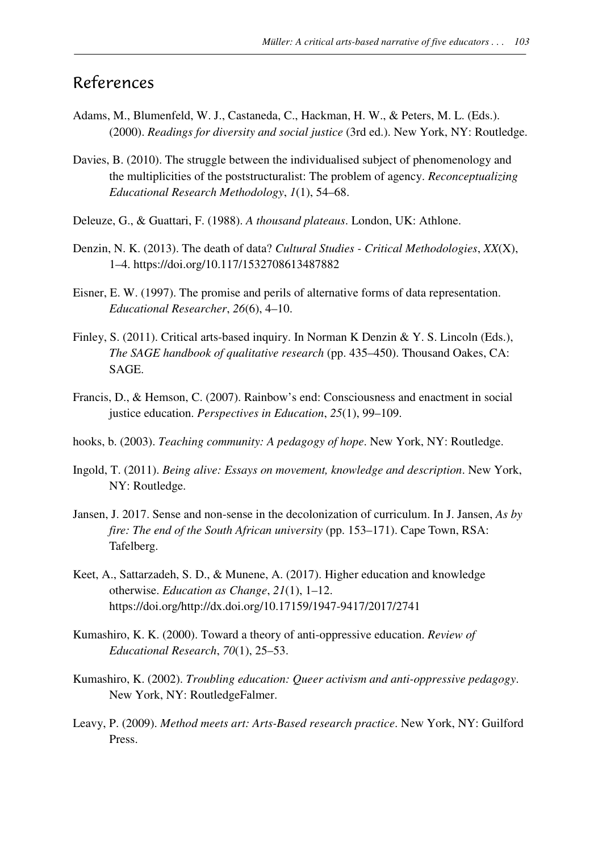### References

- Adams, M., Blumenfeld, W. J., Castaneda, C., Hackman, H. W., & Peters, M. L. (Eds.). (2000). *Readings for diversity and social justice* (3rd ed.). New York, NY: Routledge.
- Davies, B. (2010). The struggle between the individualised subject of phenomenology and the multiplicities of the poststructuralist: The problem of agency. *Reconceptualizing Educational Research Methodology*, *1*(1), 54–68.
- Deleuze, G., & Guattari, F. (1988). *A thousand plateaus*. London, UK: Athlone.
- Denzin, N. K. (2013). The death of data? *Cultural Studies Critical Methodologies*, *XX*(X), 1–4. https://doi.org/10.117/1532708613487882
- Eisner, E. W. (1997). The promise and perils of alternative forms of data representation. *Educational Researcher*, *26*(6), 4–10.
- Finley, S. (2011). Critical arts-based inquiry. In Norman K Denzin & Y. S. Lincoln (Eds.), *The SAGE handbook of qualitative research* (pp. 435–450). Thousand Oakes, CA: SAGE.
- Francis, D., & Hemson, C. (2007). Rainbow's end: Consciousness and enactment in social justice education. *Perspectives in Education*, *25*(1), 99–109.
- hooks, b. (2003). *Teaching community: A pedagogy of hope*. New York, NY: Routledge.
- Ingold, T. (2011). *Being alive: Essays on movement, knowledge and description*. New York, NY: Routledge.
- Jansen, J. 2017. Sense and non-sense in the decolonization of curriculum. In J. Jansen, *As by fire: The end of the South African university* (pp. 153–171). Cape Town, RSA: Tafelberg.
- Keet, A., Sattarzadeh, S. D., & Munene, A. (2017). Higher education and knowledge otherwise. *Education as Change*, *21*(1), 1–12. https://doi.org/http://dx.doi.org/10.17159/1947-9417/2017/2741
- Kumashiro, K. K. (2000). Toward a theory of anti-oppressive education. *Review of Educational Research*, *70*(1), 25–53.
- Kumashiro, K. (2002). *Troubling education: Queer activism and anti-oppressive pedagogy*. New York, NY: RoutledgeFalmer.
- Leavy, P. (2009). *Method meets art: Arts-Based research practice*. New York, NY: Guilford Press.